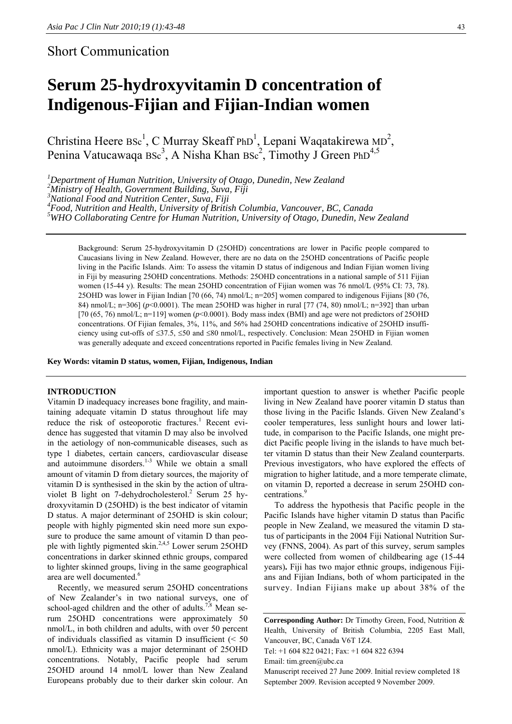### Short Communication

## **Serum 25-hydroxyvitamin D concentration of Indigenous-Fijian and Fijian-Indian women**

Christina Heere  $\text{Bsc}^1$ , C Murray Skeaff PhD<sup>1</sup>, Lepani Waqatakirewa MD<sup>2</sup>, Penina Vatucawaqa Bsc<sup>3</sup>, A Nisha Khan Bsc<sup>2</sup>, Timothy J Green PhD<sup>4,5</sup>

<sup>1</sup>Department of Human Nutrition, University of Otago, Dunedin, New Zealand <sup>2</sup>Ministry of Haglib Covernment Building, Sung Fiji

*Ministry of Health, Government Building, Suva, Fiji* 

*3 National Food and Nutrition Center, Suva, Fiji* 

<sup>4</sup> Food, Nutrition and Health, University of British Columbia, Vancouver, BC, Canada<br><sup>5</sup>WHO Callaborating Contre for Human Nutrition, University of Otago, Dunadin, Nav

*WHO Collaborating Centre for Human Nutrition, University of Otago, Dunedin, New Zealand* 

Background: Serum 25-hydroxyvitamin D (25OHD) concentrations are lower in Pacific people compared to Caucasians living in New Zealand. However, there are no data on the 25OHD concentrations of Pacific people living in the Pacific Islands. Aim: To assess the vitamin D status of indigenous and Indian Fijian women living in Fiji by measuring 25OHD concentrations. Methods: 25OHD concentrations in a national sample of 511 Fijian women (15-44 y). Results: The mean 25OHD concentration of Fijian women was 76 nmol/L (95% CI: 73, 78). 25OHD was lower in Fijian Indian [70 (66, 74) nmol/L; n=205] women compared to indigenous Fijians [80 (76, 84) nmol/L; n=306] (*p*<0.0001). The mean 25OHD was higher in rural [77 (74, 80) nmol/L; n=392] than urban [70  $(65, 76)$  nmol/L; n=119] women  $(p<0.0001)$ . Body mass index (BMI) and age were not predictors of 25OHD concentrations. Of Fijian females, 3%, 11%, and 56% had 25OHD concentrations indicative of 25OHD insufficiency using cut-offs of ≤37.5, ≤50 and ≤80 nmol/L, respectively. Conclusion: Mean 25OHD in Fijian women was generally adequate and exceed concentrations reported in Pacific females living in New Zealand.

**Key Words: vitamin D status, women, Fijian, Indigenous, Indian** 

#### **INTRODUCTION**

Vitamin D inadequacy increases bone fragility, and maintaining adequate vitamin D status throughout life may reduce the risk of osteoporotic fractures.<sup>1</sup> Recent evidence has suggested that vitamin D may also be involved in the aetiology of non-communicable diseases, such as type 1 diabetes, certain cancers, cardiovascular disease and autoimmune disorders.<sup>1-3</sup> While we obtain a small amount of vitamin D from dietary sources, the majority of vitamin D is synthesised in the skin by the action of ultraviolet B light on 7-dehydrocholesterol.<sup>2</sup> Serum 25 hydroxyvitamin D (25OHD) is the best indicator of vitamin D status. A major determinant of 25OHD is skin colour; people with highly pigmented skin need more sun exposure to produce the same amount of vitamin D than people with lightly pigmented skin.<sup>2,4,5</sup> Lower serum 25OHD concentrations in darker skinned ethnic groups, compared to lighter skinned groups, living in the same geographical area are well documented.<sup>6</sup>

Recently, we measured serum 25OHD concentrations of New Zealander's in two national surveys, one of school-aged children and the other of adults.<sup>7,8</sup> Mean serum 25OHD concentrations were approximately 50 nmol/L, in both children and adults, with over 50 percent of individuals classified as vitamin D insufficient (< 50 nmol/L). Ethnicity was a major determinant of 25OHD concentrations. Notably, Pacific people had serum 25OHD around 14 nmol/L lower than New Zealand Europeans probably due to their darker skin colour. An

important question to answer is whether Pacific people living in New Zealand have poorer vitamin D status than those living in the Pacific Islands. Given New Zealand's cooler temperatures, less sunlight hours and lower latitude, in comparison to the Pacific Islands, one might predict Pacific people living in the islands to have much better vitamin D status than their New Zealand counterparts. Previous investigators, who have explored the effects of migration to higher latitude, and a more temperate climate, on vitamin D, reported a decrease in serum 25OHD concentrations.<sup>9</sup>

To address the hypothesis that Pacific people in the Pacific Islands have higher vitamin D status than Pacific people in New Zealand, we measured the vitamin D status of participants in the 2004 Fiji National Nutrition Survey (FNNS, 2004). As part of this survey, serum samples were collected from women of childbearing age (15-44 years)**.** Fiji has two major ethnic groups, indigenous Fijians and Fijian Indians, both of whom participated in the survey. Indian Fijians make up about 38% of the

**Corresponding Author:** Dr Timothy Green, Food, Nutrition & Health, University of British Columbia, 2205 East Mall, Vancouver, BC, Canada V6T 1Z4.

Tel: +1 604 822 0421; Fax: +1 604 822 6394

Email: tim.green@ubc.ca

Manuscript received 27 June 2009. Initial review completed 18 September 2009. Revision accepted 9 November 2009.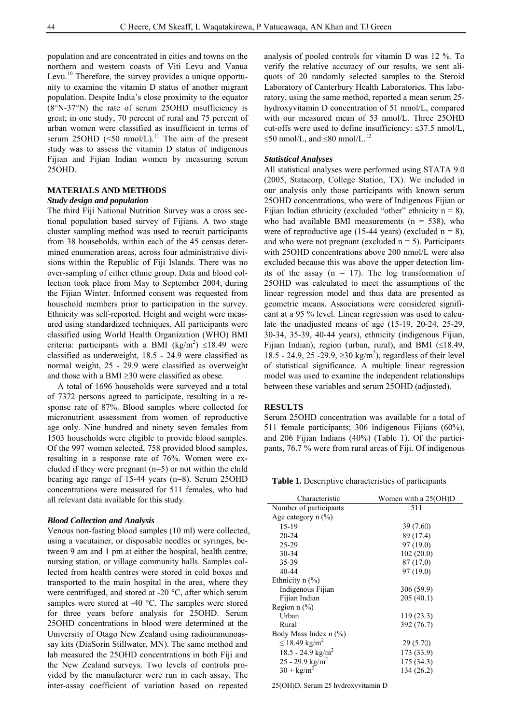population and are concentrated in cities and towns on the northern and western coasts of Viti Levu and Vanua Levu.<sup>10</sup> Therefore, the survey provides a unique opportunity to examine the vitamin D status of another migrant population. Despite India's close proximity to the equator (8°N-37°N) the rate of serum 25OHD insufficiency is great; in one study, 70 percent of rural and 75 percent of urban women were classified as insufficient in terms of serum 25OHD ( $\leq 50$  nmol/L).<sup>11</sup> The aim of the present study was to assess the vitamin D status of indigenous Fijian and Fijian Indian women by measuring serum 25OHD.

#### **MATERIALS AND METHODS**

#### *Study design and population*

The third Fiji National Nutrition Survey was a cross sectional population based survey of Fijians. A two stage cluster sampling method was used to recruit participants from 38 households, within each of the 45 census determined enumeration areas, across four administrative divisions within the Republic of Fiji Islands. There was no over-sampling of either ethnic group. Data and blood collection took place from May to September 2004, during the Fijian Winter. Informed consent was requested from household members prior to participation in the survey. Ethnicity was self-reported. Height and weight were measured using standardized techniques. All participants were classified using World Health Organization (WHO) BMI criteria: participants with a BMI (kg/m<sup>2</sup>)  $\leq 18.49$  were classified as underweight, 18.5 - 24.9 were classified as normal weight, 25 - 29.9 were classified as overweight and those with a BMI  $\geq$ 30 were classified as obese.

A total of 1696 households were surveyed and a total of 7372 persons agreed to participate, resulting in a response rate of 87%. Blood samples where collected for micronutrient assessment from women of reproductive age only. Nine hundred and ninety seven females from 1503 households were eligible to provide blood samples. Of the 997 women selected, 758 provided blood samples, resulting in a response rate of 76%. Women were excluded if they were pregnant  $(n=5)$  or not within the child bearing age range of 15-44 years (n=8). Serum 25OHD concentrations were measured for 511 females, who had all relevant data available for this study.

#### *Blood Collection and Analysis*

Venous non-fasting blood samples (10 ml) were collected, using a vacutainer, or disposable needles or syringes, between 9 am and 1 pm at either the hospital, health centre, nursing station, or village community halls. Samples collected from health centres were stored in cold boxes and transported to the main hospital in the area, where they were centrifuged, and stored at -20 °C, after which serum samples were stored at -40 °C. The samples were stored for three years before analysis for 25OHD. Serum 25OHD concentrations in blood were determined at the University of Otago New Zealand using radioimmunoassay kits (DiaSorin Stillwater, MN). The same method and lab measured the 25OHD concentrations in both Fiji and the New Zealand surveys. Two levels of controls provided by the manufacturer were run in each assay. The inter-assay coefficient of variation based on repeated

analysis of pooled controls for vitamin D was 12 %. To verify the relative accuracy of our results, we sent aliquots of 20 randomly selected samples to the Steroid Laboratory of Canterbury Health Laboratories. This laboratory, using the same method, reported a mean serum 25 hydroxyvitamin D concentration of 51 nmol/L, compared with our measured mean of 53 nmol/L. Three 25OHD cut-offs were used to define insufficiency: ≤37.5 nmol/L, ≤50 nmol/L, and ≤80 nmol/L.<sup>12</sup>

#### *Statistical Analyses*

All statistical analyses were performed using STATA 9.0 (2005, Statacorp, College Station, TX). We included in our analysis only those participants with known serum 25OHD concentrations, who were of Indigenous Fijian or Fijian Indian ethnicity (excluded "other" ethnicity  $n = 8$ ), who had available BMI measurements  $(n = 538)$ , who were of reproductive age (15-44 years) (excluded  $n = 8$ ), and who were not pregnant (excluded  $n = 5$ ). Participants with 25OHD concentrations above 200 nmol/L were also excluded because this was above the upper detection limits of the assay  $(n = 17)$ . The log transformation of 25OHD was calculated to meet the assumptions of the linear regression model and thus data are presented as geometric means. Associations were considered significant at a 95 % level. Linear regression was used to calculate the unadjusted means of age (15-19, 20-24, 25-29, 30-34, 35-39, 40-44 years), ethnicity (indigenous Fijian, Fijian Indian), region (urban, rural), and BMI  $(\leq 18.49,$ 18.5 - 24.9, 25 -29.9, ≥30 kg/m<sup>2</sup>), regardless of their level of statistical significance. A multiple linear regression model was used to examine the independent relationships between these variables and serum 25OHD (adjusted).

#### **RESULTS**

Serum 25OHD concentration was available for a total of 511 female participants; 306 indigenous Fijians (60%), and 206 Fijian Indians (40%) (Table 1). Of the participants, 76.7 % were from rural areas of Fiji. Of indigenous

**Table 1.** Descriptive characteristics of participants

| Characteristic                        | Women with a 25(OH)D |  |  |
|---------------------------------------|----------------------|--|--|
| Number of participants                | 511                  |  |  |
| Age category $n$ $(\%)$               |                      |  |  |
| 15-19                                 | 39 (7.60)            |  |  |
| $20 - 24$                             | 89 (17.4)            |  |  |
| 25-29                                 | 97 (19.0)            |  |  |
| 30-34                                 | 102(20.0)            |  |  |
| 35-39                                 | 87 (17.0)            |  |  |
| 40-44                                 | 97 (19.0)            |  |  |
| Ethnicity n (%)                       |                      |  |  |
| Indigenous Fijian                     | 306 (59.9)           |  |  |
| Fijian Indian                         | 205(40.1)            |  |  |
| Region $n$ $\left(\frac{9}{6}\right)$ |                      |  |  |
| Urban                                 | 119(23.3)            |  |  |
| Rural                                 | 392 (76.7)           |  |  |
| Body Mass Index n (%)                 |                      |  |  |
| $\leq$ 18.49 kg/m <sup>2</sup>        | 29 (5.70)            |  |  |
| 18.5 - 24.9 $\text{kg/m}^2$           | 173 (33.9)           |  |  |
| 25 - 29.9 kg/m <sup>2</sup>           | 175 (34.3)           |  |  |
| $30 + \text{kg/m}^2$                  | 134 (26.2)           |  |  |

25(OH)D, Serum 25 hydroxyvitamin D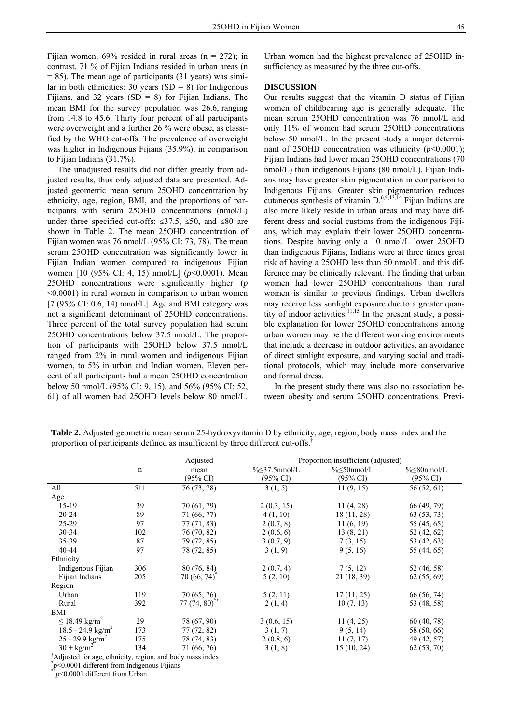Fijian women,  $69\%$  resided in rural areas (n = 272); in contrast, 71 % of Fijian Indians resided in urban areas (n  $= 85$ ). The mean age of participants (31 years) was similar in both ethnicities: 30 years  $(SD = 8)$  for Indigenous Fijians, and 32 years (SD = 8) for Fijian Indians. The

mean BMI for the survey population was 26.6, ranging from 14.8 to 45.6. Thirty four percent of all participants were overweight and a further 26 % were obese, as classified by the WHO cut-offs. The prevalence of overweight was higher in Indigenous Fijians (35.9%), in comparison to Fijian Indians (31.7%).

The unadjusted results did not differ greatly from adjusted results, thus only adjusted data are presented. Adjusted geometric mean serum 25OHD concentration by ethnicity, age, region, BMI, and the proportions of participants with serum 25OHD concentrations (nmol/L) under three specified cut-offs:  $\leq 37.5$ ,  $\leq 50$ , and  $\leq 80$  are shown in Table 2. The mean 25OHD concentration of Fijian women was 76 nmol/L (95% CI: 73, 78). The mean serum 25OHD concentration was significantly lower in Fijian Indian women compared to indigenous Fijian women [10 (95% CI: 4, 15) nmol/L] (*p*<0.0001). Mean 25OHD concentrations were significantly higher (*p* <0.0001) in rural women in comparison to urban women  $[7 (95\% \text{ CI: } 0.6, 14) \text{ nmol/L}]$ . Age and BMI category was not a significant determinant of 25OHD concentrations. Three percent of the total survey population had serum 25OHD concentrations below 37.5 nmol/L. The proportion of participants with 25OHD below 37.5 nmol/L ranged from 2% in rural women and indigenous Fijian women, to 5% in urban and Indian women. Eleven percent of all participants had a mean 25OHD concentration below 50 nmol/L (95% CI: 9, 15), and 56% (95% CI: 52, 61) of all women had 25OHD levels below 80 nmol/L.

Urban women had the highest prevalence of 25OHD insufficiency as measured by the three cut-offs.

#### **DISCUSSION**

Our results suggest that the vitamin D status of Fijian women of childbearing age is generally adequate. The mean serum 25OHD concentration was 76 nmol/L and only 11% of women had serum 25OHD concentrations below 50 nmol/L. In the present study a major determinant of 25OHD concentration was ethnicity  $(p<0.0001)$ ; Fijian Indians had lower mean 25OHD concentrations (70 nmol/L) than indigenous Fijians (80 nmol/L). Fijian Indians may have greater skin pigmentation in comparison to Indigenous Fijians. Greater skin pigmentation reduces cutaneous synthesis of vitamin  $D^{6,9,13,14}$  Fijian Indians are also more likely reside in urban areas and may have different dress and social customs from the indigenous Fijians, which may explain their lower 25OHD concentrations. Despite having only a 10 nmol/L lower 25OHD than indigenous Fijians, Indians were at three times great risk of having a 25OHD less than 50 nmol/L and this difference may be clinically relevant. The finding that urban women had lower 25OHD concentrations than rural women is similar to previous findings. Urban dwellers may receive less sunlight exposure due to a greater quantity of indoor activities.<sup>11,15</sup> In the present study, a possible explanation for lower 25OHD concentrations among urban women may be the different working environments that include a decrease in outdoor activities, an avoidance of direct sunlight exposure, and varying social and traditional protocols, which may include more conservative and formal dress.

In the present study there was also no association between obesity and serum 25OHD concentrations. Previ-

**Table 2.** Adjusted geometric mean serum 25-hydroxyvitamin D by ethnicity, age, region, body mass index and the proportion of participants defined as insufficient by three different cut-offs.†

|                               |             | Adjusted            | Proportion insufficient (adjusted) |                        |                              |
|-------------------------------|-------------|---------------------|------------------------------------|------------------------|------------------------------|
|                               | $\mathbf n$ | mean                | $\frac{9}{6}$ < 37.5 nmol/L        | $\frac{9}{6}$ 50nmol/L | $\frac{9}{6}$ \seps{80nmol/L |
|                               |             | $(95\% \text{ CI})$ | $(95\% \text{ CI})$                | $(95\% \text{ CI})$    | $(95\% \text{ CI})$          |
| All                           | 511         | 76 (73, 78)         | 3(1, 5)                            | 11(9, 15)              | 56 (52, 61)                  |
| Age                           |             |                     |                                    |                        |                              |
| $15-19$                       | 39          | 70 (61, 79)         | 2(0.3, 15)                         | 11(4, 28)              | 66 (49, 79)                  |
| $20 - 24$                     | 89          | 71 (66, 77)         | 4(1, 10)                           | 18(11, 28)             | 63 (53, 73)                  |
| $25-29$                       | 97          | 77(71, 83)          | 2(0.7, 8)                          | 11(6, 19)              | 55 (45, 65)                  |
| $30 - 34$                     | 102         | 76 (70, 82)         | 2(0.6, 6)                          | 13(8, 21)              | 52 (42, 62)                  |
| 35-39                         | 87          | 79 (72, 85)         | 3(0.7, 9)                          | 7(3, 15)               | 53 (42, 63)                  |
| 40-44                         | 97          | 78 (72, 85)         | 3(1, 9)                            | 9(5, 16)               | 55 (44, 65)                  |
| Ethnicity                     |             |                     |                                    |                        |                              |
| Indigenous Fijian             | 306         | 80(76, 84)          | 2(0.7, 4)                          | 7(5, 12)               | 52 (46, 58)                  |
| Fijian Indians                | 205         | 70(66, 74)          | 5(2, 10)                           | 21 (18, 39)            | 62(55, 69)                   |
| Region                        |             |                     |                                    |                        |                              |
| Urban                         | 119         | 70 (65, 76)         | 5(2, 11)                           | 17(11, 25)             | 66 (56, 74)                  |
| Rural                         | 392         | $77(74, 80)$ **     | 2(1, 4)                            | 10(7, 13)              | 53 (48, 58)                  |
| BMI                           |             |                     |                                    |                        |                              |
| $≤ 18.49$ kg/m <sup>2</sup>   | 29          | 78 (67, 90)         | 3(0.6, 15)                         | 11(4, 25)              | 60(40, 78)                   |
| 18.5 - 24.9 kg/m <sup>2</sup> | 173         | 77 (72, 82)         | 3(1, 7)                            | 9(5, 14)               | 58 (50, 66)                  |
| 25 - 29.9 kg/m <sup>2</sup>   | 175         | 78 (74, 83)         | 2(0.8, 6)                          | 11(7, 17)              | 49 (42, 57)                  |
| $30 + \text{kg/m}^2$          | 134         | 71 (66, 76)         | 3(1, 8)                            | 15(10, 24)             | 62 (53, 70)                  |

† Adjusted for age, ethnicity, region, and body mass index

\* *<sup>p</sup>*<0.0001 different from Indigenous Fijians \*\**p*<0.0001 different from Urban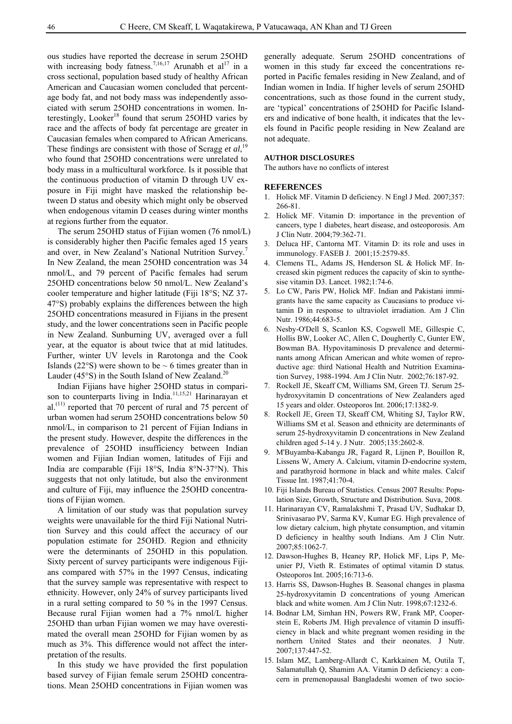ous studies have reported the decrease in serum 25OHD with increasing body fatness.<sup>7,16,17</sup> Arunabh et al<sup>17</sup> in a cross sectional, population based study of healthy African American and Caucasian women concluded that percentage body fat, and not body mass was independently associated with serum 25OHD concentrations in women. Interestingly, Looker<sup>18</sup> found that serum 25OHD varies by race and the affects of body fat percentage are greater in Caucasian females when compared to African Americans. These findings are consistent with those of Scragg et al,<sup>19</sup> who found that 25OHD concentrations were unrelated to body mass in a multicultural workforce. Is it possible that the continuous production of vitamin D through UV exposure in Fiji might have masked the relationship between D status and obesity which might only be observed when endogenous vitamin D ceases during winter months at regions further from the equator.

The serum 25OHD status of Fijian women (76 nmol/L) is considerably higher then Pacific females aged 15 years and over, in New Zealand's National Nutrition Survey. In New Zealand, the mean 25OHD concentration was 34 nmol/L, and 79 percent of Pacific females had serum 25OHD concentrations below 50 nmol/L. New Zealand's cooler temperature and higher latitude (Fiji 18°S; NZ 37- 47°S) probably explains the differences between the high 25OHD concentrations measured in Fijians in the present study, and the lower concentrations seen in Pacific people in New Zealand. Sunburning UV, averaged over a full year, at the equator is about twice that at mid latitudes. Further, winter UV levels in Rarotonga and the Cook Islands (22 $\textdegree$ S) were shown to be  $\sim$  6 times greater than in Lauder (45 $\textdegree$ S) in the South Island of New Zealand.<sup>20</sup>

Indian Fijians have higher 25OHD status in comparison to counterparts living in India.<sup>11,15,21</sup> Harinarayan et al.<sup>(11)</sup> reported that 70 percent of rural and 75 percent of urban women had serum 25OHD concentrations below 50 nmol/L, in comparison to 21 percent of Fijian Indians in the present study. However, despite the differences in the prevalence of 25OHD insufficiency between Indian women and Fijian Indian women, latitudes of Fiji and India are comparable (Fiji 18°S, India 8°N-37°N). This suggests that not only latitude, but also the environment and culture of Fiji, may influence the 25OHD concentrations of Fijian women.

A limitation of our study was that population survey weights were unavailable for the third Fiji National Nutrition Survey and this could affect the accuracy of our population estimate for 25OHD. Region and ethnicity were the determinants of 25OHD in this population. Sixty percent of survey participants were indigenous Fijians compared with 57% in the 1997 Census, indicating that the survey sample was representative with respect to ethnicity. However, only 24% of survey participants lived in a rural setting compared to 50 % in the 1997 Census. Because rural Fijian women had a 7% nmol/L higher 25OHD than urban Fijian women we may have overestimated the overall mean 25OHD for Fijian women by as much as 3%. This difference would not affect the interpretation of the results.

In this study we have provided the first population based survey of Fijian female serum 25OHD concentrations. Mean 25OHD concentrations in Fijian women was

generally adequate. Serum 25OHD concentrations of women in this study far exceed the concentrations reported in Pacific females residing in New Zealand, and of Indian women in India. If higher levels of serum 25OHD concentrations, such as those found in the current study, are 'typical' concentrations of 25OHD for Pacific Islanders and indicative of bone health, it indicates that the levels found in Pacific people residing in New Zealand are not adequate.

#### **AUTHOR DISCLOSURES**

The authors have no conflicts of interest

#### **REFERENCES**

- 1. Holick MF. Vitamin D deficiency. N Engl J Med. 2007;357: 266-81.
- 2. Holick MF. Vitamin D: importance in the prevention of cancers, type 1 diabetes, heart disease, and osteoporosis. Am J Clin Nutr. 2004;79:362-71.
- 3. Deluca HF, Cantorna MT. Vitamin D: its role and uses in immunology. FASEB J. 2001;15:2579-85.
- 4. Clemens TL, Adams JS, Henderson SL & Holick MF. Increased skin pigment reduces the capacity of skin to synthesise vitamin D3. Lancet. 1982;1:74-6.
- 5. Lo CW, Paris PW, Holick MF. Indian and Pakistani immigrants have the same capacity as Caucasians to produce vitamin D in response to ultraviolet irradiation. Am J Clin Nutr. 1986;44:683-5.
- 6. Nesby-O'Dell S, Scanlon KS, Cogswell ME, Gillespie C, Hollis BW, Looker AC, Allen C, Doughertly C, Gunter EW, Bowman BA. Hypovitaminosis D prevalence and determinants among African American and white women of reproductive age: third National Health and Nutrition Examination Survey, 1988-1994. Am J Clin Nutr. 2002;76:187-92.
- 7. Rockell JE, Skeaff CM, Williams SM, Green TJ. Serum 25 hydroxyvitamin D concentrations of New Zealanders aged 15 years and older. Osteoporos Int. 2006;17:1382-9.
- 8. Rockell JE, Green TJ, Skeaff CM, Whiting SJ, Taylor RW, Williams SM et al. Season and ethnicity are determinants of serum 25-hydroxyvitamin D concentrations in New Zealand children aged 5-14 y. J Nutr. 2005;135:2602-8.
- 9. M'Buyamba-Kabangu JR, Fagard R, Lijnen P, Bouillon R, Lissens W, Amery A. Calcium, vitamin D-endocrine system, and parathyroid hormone in black and white males. Calcif Tissue Int. 1987;41:70-4.
- 10. Fiji Islands Bureau of Statistics. Census 2007 Results: Population Size, Growth, Structure and Distribution. Suva, 2008.
- 11. Harinarayan CV, Ramalakshmi T, Prasad UV, Sudhakar D, Srinivasarao PV, Sarma KV, Kumar EG. High prevalence of low dietary calcium, high phytate consumption, and vitamin D deficiency in healthy south Indians. Am J Clin Nutr. 2007;85:1062-7.
- 12. Dawson-Hughes B, Heaney RP, Holick MF, Lips P, Meunier PJ, Vieth R. Estimates of optimal vitamin D status. Osteoporos Int. 2005;16:713-6.
- 13. Harris SS, Dawson-Hughes B. Seasonal changes in plasma 25-hydroxyvitamin D concentrations of young American black and white women. Am J Clin Nutr. 1998;67:1232-6.
- 14. Bodnar LM, Simhan HN, Powers RW, Frank MP, Cooperstein E, Roberts JM. High prevalence of vitamin D insufficiency in black and white pregnant women residing in the northern United States and their neonates. J Nutr. 2007;137:447-52.
- 15. Islam MZ, Lamberg-Allardt C, Karkkainen M, Outila T, Salamatullah Q, Shamim AA. Vitamin D deficiency: a concern in premenopausal Bangladeshi women of two socio-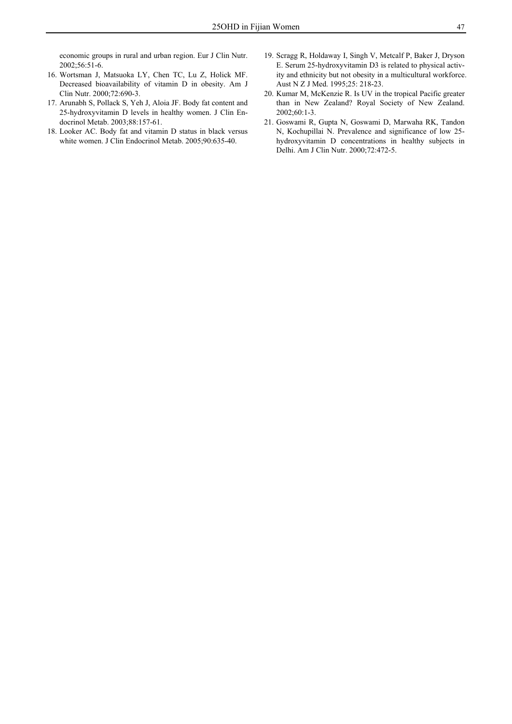economic groups in rural and urban region. Eur J Clin Nutr. 2002;56:51-6.

- 16. Wortsman J, Matsuoka LY, Chen TC, Lu Z, Holick MF. Decreased bioavailability of vitamin D in obesity. Am J Clin Nutr. 2000;72:690-3.
- 17. Arunabh S, Pollack S, Yeh J, Aloia JF. Body fat content and 25-hydroxyvitamin D levels in healthy women. J Clin Endocrinol Metab. 2003;88:157-61.
- 18. Looker AC. Body fat and vitamin D status in black versus white women. J Clin Endocrinol Metab. 2005;90:635-40.
- 19. Scragg R, Holdaway I, Singh V, Metcalf P, Baker J, Dryson E. Serum 25-hydroxyvitamin D3 is related to physical activity and ethnicity but not obesity in a multicultural workforce. Aust N Z J Med. 1995;25: 218-23.
- 20. Kumar M, McKenzie R. Is UV in the tropical Pacific greater than in New Zealand? Royal Society of New Zealand. 2002;60:1-3.
- 21. Goswami R, Gupta N, Goswami D, Marwaha RK, Tandon N, Kochupillai N. Prevalence and significance of low 25 hydroxyvitamin D concentrations in healthy subjects in Delhi. Am J Clin Nutr. 2000;72:472-5.